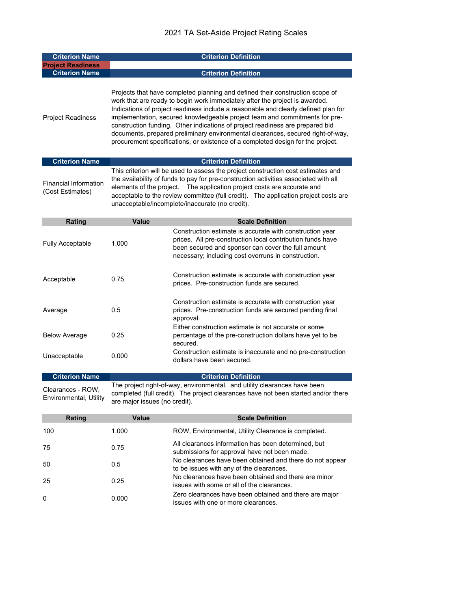| <b>Criterion Name</b>                            | <b>Criterion Definition</b>                                                                                                                                                                                                                                                                                                                                                                                                                                                                                                                                                              |                                                                                                                                                                                                                                     |  |
|--------------------------------------------------|------------------------------------------------------------------------------------------------------------------------------------------------------------------------------------------------------------------------------------------------------------------------------------------------------------------------------------------------------------------------------------------------------------------------------------------------------------------------------------------------------------------------------------------------------------------------------------------|-------------------------------------------------------------------------------------------------------------------------------------------------------------------------------------------------------------------------------------|--|
| <b>Project Readiness</b>                         |                                                                                                                                                                                                                                                                                                                                                                                                                                                                                                                                                                                          |                                                                                                                                                                                                                                     |  |
| <b>Criterion Name</b>                            | <b>Criterion Definition</b>                                                                                                                                                                                                                                                                                                                                                                                                                                                                                                                                                              |                                                                                                                                                                                                                                     |  |
| <b>Project Readiness</b>                         | Projects that have completed planning and defined their construction scope of<br>work that are ready to begin work immediately after the project is awarded.<br>Indications of project readiness include a reasonable and clearly defined plan for<br>implementation, secured knowledgeable project team and commitments for pre-<br>construction funding. Other indications of project readiness are prepared bid<br>documents, prepared preliminary environmental clearances, secured right-of-way,<br>procurement specifications, or existence of a completed design for the project. |                                                                                                                                                                                                                                     |  |
| <b>Criterion Name</b>                            |                                                                                                                                                                                                                                                                                                                                                                                                                                                                                                                                                                                          | <b>Criterion Definition</b>                                                                                                                                                                                                         |  |
| <b>Financial Information</b><br>(Cost Estimates) | This criterion will be used to assess the project construction cost estimates and<br>the availability of funds to pay for pre-construction activities associated with all<br>elements of the project.  The application project costs are accurate and<br>acceptable to the review committee (full credit). The application project costs are<br>unacceptable/incomplete/inaccurate (no credit).                                                                                                                                                                                          |                                                                                                                                                                                                                                     |  |
| Rating                                           | Value                                                                                                                                                                                                                                                                                                                                                                                                                                                                                                                                                                                    | <b>Scale Definition</b>                                                                                                                                                                                                             |  |
| <b>Fully Acceptable</b>                          | 1.000                                                                                                                                                                                                                                                                                                                                                                                                                                                                                                                                                                                    | Construction estimate is accurate with construction year<br>prices. All pre-construction local contribution funds have<br>been secured and sponsor can cover the full amount<br>necessary; including cost overruns in construction. |  |
| Acceptable                                       | 0.75                                                                                                                                                                                                                                                                                                                                                                                                                                                                                                                                                                                     | Construction estimate is accurate with construction year<br>prices. Pre-construction funds are secured.                                                                                                                             |  |
| Average                                          | 0.5                                                                                                                                                                                                                                                                                                                                                                                                                                                                                                                                                                                      | Construction estimate is accurate with construction year<br>prices. Pre-construction funds are secured pending final<br>approval.<br>Either construction estimate is not accurate or some                                           |  |
| <b>Below Average</b>                             | 0.25                                                                                                                                                                                                                                                                                                                                                                                                                                                                                                                                                                                     | percentage of the pre-construction dollars have yet to be<br>secured.                                                                                                                                                               |  |
| Unacceptable                                     | 0.000                                                                                                                                                                                                                                                                                                                                                                                                                                                                                                                                                                                    | Construction estimate is inaccurate and no pre-construction<br>dollars have been secured.                                                                                                                                           |  |
| <b>Criterion Name</b>                            |                                                                                                                                                                                                                                                                                                                                                                                                                                                                                                                                                                                          | <b>Criterion Definition</b>                                                                                                                                                                                                         |  |
| Clearances - ROW.<br>Environmental, Utility      | The project right-of-way, environmental, and utility clearances have been<br>completed (full credit). The project clearances have not been started and/or there<br>are major issues (no credit).                                                                                                                                                                                                                                                                                                                                                                                         |                                                                                                                                                                                                                                     |  |
| Rating                                           | <b>Value</b>                                                                                                                                                                                                                                                                                                                                                                                                                                                                                                                                                                             | <b>Scale Definition</b>                                                                                                                                                                                                             |  |

|          | <u>IWULIU</u> | <b>Vulut</b> | UVUIV PVIIIIIUVII                                                                                    |
|----------|---------------|--------------|------------------------------------------------------------------------------------------------------|
| 100      |               | 1.000        | ROW, Environmental, Utility Clearance is completed.                                                  |
| 75       |               | 0.75         | All clearances information has been determined, but<br>submissions for approval have not been made.  |
| 50       |               | 0.5          | No clearances have been obtained and there do not appear<br>to be issues with any of the clearances. |
| 25       |               | 0.25         | No clearances have been obtained and there are minor<br>issues with some or all of the clearances.   |
| $\Omega$ |               | 0.000        | Zero clearances have been obtained and there are major<br>issues with one or more clearances.        |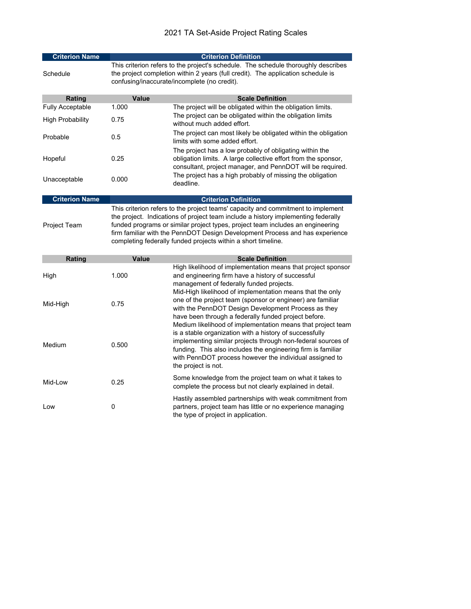| <b>Criterion Name</b>   | <b>Criterion Definition</b>                                                                                                                                                                                                                                                                                                                                                                              |                                                                                                                                                                                                                                                                                                                                          |  |
|-------------------------|----------------------------------------------------------------------------------------------------------------------------------------------------------------------------------------------------------------------------------------------------------------------------------------------------------------------------------------------------------------------------------------------------------|------------------------------------------------------------------------------------------------------------------------------------------------------------------------------------------------------------------------------------------------------------------------------------------------------------------------------------------|--|
| Schedule                | This criterion refers to the project's schedule. The schedule thoroughly describes<br>the project completion within 2 years (full credit). The application schedule is<br>confusing/inaccurate/incomplete (no credit).                                                                                                                                                                                   |                                                                                                                                                                                                                                                                                                                                          |  |
| Rating                  | Value                                                                                                                                                                                                                                                                                                                                                                                                    | <b>Scale Definition</b>                                                                                                                                                                                                                                                                                                                  |  |
| <b>Fully Acceptable</b> | 1.000                                                                                                                                                                                                                                                                                                                                                                                                    | The project will be obligated within the obligation limits.                                                                                                                                                                                                                                                                              |  |
| High Probability        | 0.75                                                                                                                                                                                                                                                                                                                                                                                                     | The project can be obligated within the obligation limits<br>without much added effort.                                                                                                                                                                                                                                                  |  |
| Probable                | 0.5                                                                                                                                                                                                                                                                                                                                                                                                      | The project can most likely be obligated within the obligation<br>limits with some added effort.                                                                                                                                                                                                                                         |  |
| Hopeful                 | 0.25                                                                                                                                                                                                                                                                                                                                                                                                     | The project has a low probably of obligating within the<br>obligation limits. A large collective effort from the sponsor,<br>consultant, project manager, and PennDOT will be required.                                                                                                                                                  |  |
| Unacceptable            | 0.000                                                                                                                                                                                                                                                                                                                                                                                                    | The project has a high probably of missing the obligation<br>deadline.                                                                                                                                                                                                                                                                   |  |
| <b>Criterion Name</b>   |                                                                                                                                                                                                                                                                                                                                                                                                          | <b>Criterion Definition</b>                                                                                                                                                                                                                                                                                                              |  |
| Project Team            | This criterion refers to the project teams' capacity and commitment to implement<br>the project. Indications of project team include a history implementing federally<br>funded programs or similar project types, project team includes an engineering<br>firm familiar with the PennDOT Design Development Process and has experience<br>completing federally funded projects within a short timeline. |                                                                                                                                                                                                                                                                                                                                          |  |
| Rating                  | Value                                                                                                                                                                                                                                                                                                                                                                                                    | <b>Scale Definition</b>                                                                                                                                                                                                                                                                                                                  |  |
| High                    | 1.000                                                                                                                                                                                                                                                                                                                                                                                                    | High likelihood of implementation means that project sponsor<br>and engineering firm have a history of successful<br>management of federally funded projects.                                                                                                                                                                            |  |
| Mid-High                | 0.75                                                                                                                                                                                                                                                                                                                                                                                                     | Mid-High likelihood of implementation means that the only<br>one of the project team (sponsor or engineer) are familiar<br>with the PennDOT Design Development Process as they<br>have been through a federally funded project before.                                                                                                   |  |
| Medium                  | 0.500                                                                                                                                                                                                                                                                                                                                                                                                    | Medium likelihood of implementation means that project team<br>is a stable organization with a history of successfully<br>implementing similar projects through non-federal sources of<br>funding. This also includes the engineering firm is familiar<br>with PennDOT process however the individual assigned to<br>the project is not. |  |
| Mid-Low                 | 0.25                                                                                                                                                                                                                                                                                                                                                                                                     | Some knowledge from the project team on what it takes to<br>complete the process but not clearly explained in detail.                                                                                                                                                                                                                    |  |
| Low                     | 0                                                                                                                                                                                                                                                                                                                                                                                                        | Hastily assembled partnerships with weak commitment from<br>partners, project team has little or no experience managing<br>the type of project in application.                                                                                                                                                                           |  |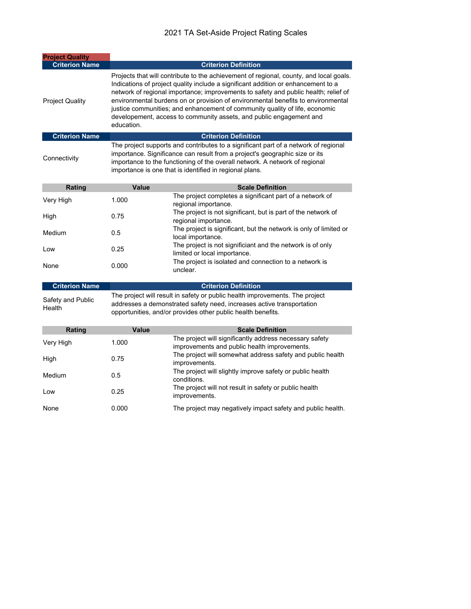| <b>Project Quality</b> |                                                                                                                                                                                                                                                                                                                                                                                                                                                                                                                            |  |  |
|------------------------|----------------------------------------------------------------------------------------------------------------------------------------------------------------------------------------------------------------------------------------------------------------------------------------------------------------------------------------------------------------------------------------------------------------------------------------------------------------------------------------------------------------------------|--|--|
| <b>Criterion Name</b>  | <b>Criterion Definition</b>                                                                                                                                                                                                                                                                                                                                                                                                                                                                                                |  |  |
| <b>Project Quality</b> | Projects that will contribute to the achievement of regional, county, and local goals.<br>Indications of project quality include a significant addition or enhancement to a<br>network of regional importance; improvements to safety and public health; relief of<br>environmental burdens on or provision of environmental benefits to environmental<br>justice communities; and enhancement of community quality of life, economic<br>developement, access to community assets, and public engagement and<br>education. |  |  |
| <b>Criterion Name</b>  | <b>Criterion Definition</b>                                                                                                                                                                                                                                                                                                                                                                                                                                                                                                |  |  |
| Connectivity           | The project supports and contributes to a significant part of a network of regional<br>importance. Significance can result from a project's geographic size or its<br>importance to the functioning of the overall network. A network of regional                                                                                                                                                                                                                                                                          |  |  |

|  | importance is one that is identified in regional plans. |
|--|---------------------------------------------------------|
|  |                                                         |

| Rating    | Value | <b>Scale Definition</b>                                                                    |
|-----------|-------|--------------------------------------------------------------------------------------------|
| Very High | 1.000 | The project completes a significant part of a network of<br>regional importance.           |
| High      | 0.75  | The project is not significant, but is part of the network of<br>regional importance.      |
| Medium    | 0.5   | The project is significant, but the network is only of limited or<br>local importance.     |
| Low       | 0.25  | The project is not significiant and the network is of only<br>limited or local importance. |
| None      | 0.000 | The project is isolated and connection to a network is<br>unclear.                         |

| <b>Criterion Name</b>       | <b>Criterion Definition</b>                                                                                                                                                                                           |  |  |
|-----------------------------|-----------------------------------------------------------------------------------------------------------------------------------------------------------------------------------------------------------------------|--|--|
| Safety and Public<br>Health | The project will result in safety or public health improvements. The project<br>addresses a demonstrated safety need, increases active transportation<br>opportunities, and/or provides other public health benefits. |  |  |

| Rating    | Value | <b>Scale Definition</b>                                                                                 |
|-----------|-------|---------------------------------------------------------------------------------------------------------|
| Very High | 1.000 | The project will significantly address necessary safety<br>improvements and public health improvements. |
| High      | 0.75  | The project will somewhat address safety and public health<br>improvements.                             |
| Medium    | 0.5   | The project will slightly improve safety or public health<br>conditions.                                |
| Low       | 0.25  | The project will not result in safety or public health<br>improvements.                                 |
| None      | 0.000 | The project may negatively impact safety and public health.                                             |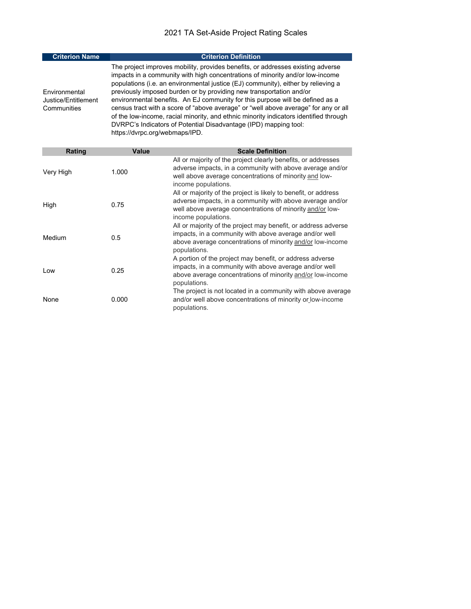| <b>Criterion Name</b>                               | <b>Criterion Definition</b>                                                                                                                                                                                                                                                                                                                                                                                                                                                                                                                                                                                                                                                                         |
|-----------------------------------------------------|-----------------------------------------------------------------------------------------------------------------------------------------------------------------------------------------------------------------------------------------------------------------------------------------------------------------------------------------------------------------------------------------------------------------------------------------------------------------------------------------------------------------------------------------------------------------------------------------------------------------------------------------------------------------------------------------------------|
| Environmental<br>Justice/Entitlement<br>Communities | The project improves mobility, provides benefits, or addresses existing adverse<br>impacts in a community with high concentrations of minority and/or low-income<br>populations (i.e. an environmental justice (EJ) community), either by relieving a<br>previously imposed burden or by providing new transportation and/or<br>environmental benefits. An EJ community for this purpose will be defined as a<br>census tract with a score of "above average" or "well above average" for any or all<br>of the low-income, racial minority, and ethnic minority indicators identified through<br>DVRPC's Indicators of Potential Disadvantage (IPD) mapping tool:<br>https://dvrpc.org/webmaps/IPD. |

| Rating    | Value | <b>Scale Definition</b>                                                                                                                                                                                          |
|-----------|-------|------------------------------------------------------------------------------------------------------------------------------------------------------------------------------------------------------------------|
| Very High | 1.000 | All or majority of the project clearly benefits, or addresses<br>adverse impacts, in a community with above average and/or<br>well above average concentrations of minority and low-<br>income populations.      |
| High      | 0.75  | All or majority of the project is likely to benefit, or address<br>adverse impacts, in a community with above average and/or<br>well above average concentrations of minority and/or low-<br>income populations. |
| Medium    | 0.5   | All or majority of the project may benefit, or address adverse<br>impacts, in a community with above average and/or well<br>above average concentrations of minority and/or low-income<br>populations.           |
| Low       | 0.25  | A portion of the project may benefit, or address adverse<br>impacts, in a community with above average and/or well<br>above average concentrations of minority and/or low-income<br>populations.                 |
| None      | 0.000 | The project is not located in a community with above average<br>and/or well above concentrations of minority or low-income<br>populations.                                                                       |